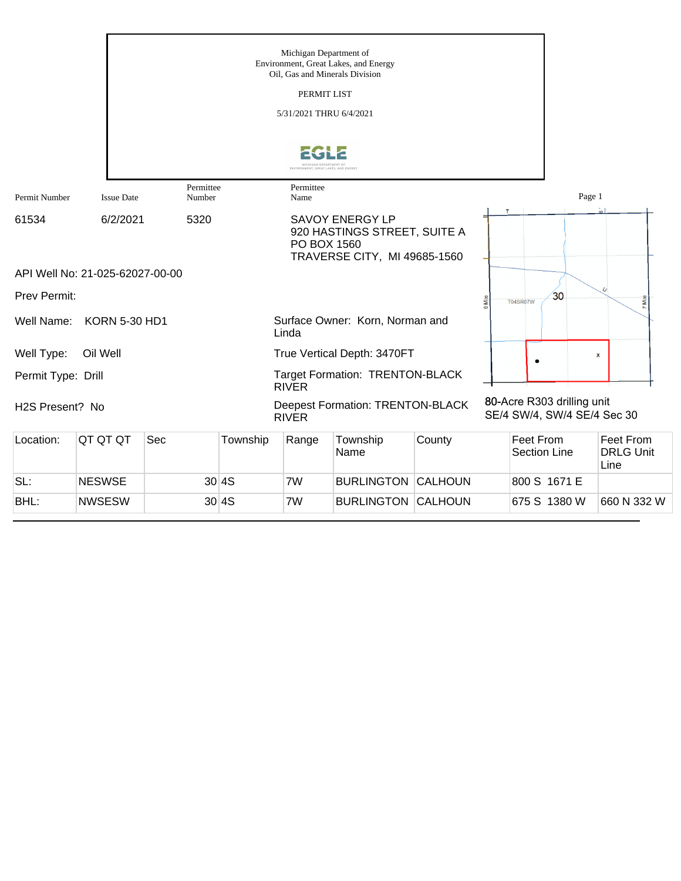|                    |                                 |                     |          | Michigan Department of<br>Oil, Gas and Minerals Division<br>PERMIT LIST<br>5/31/2021 THRU 6/4/2021 | Environment, Great Lakes, and Energy                                                   |         |          |                                                           |                                              |
|--------------------|---------------------------------|---------------------|----------|----------------------------------------------------------------------------------------------------|----------------------------------------------------------------------------------------|---------|----------|-----------------------------------------------------------|----------------------------------------------|
| Permit Number      | <b>Issue Date</b>               | Permittee<br>Number |          | Permittee<br>Name                                                                                  |                                                                                        |         |          | Page 1                                                    |                                              |
| 61534              | 6/2/2021                        | 5320                |          | PO BOX 1560                                                                                        | <b>SAVOY ENERGY LP</b><br>920 HASTINGS STREET, SUITE A<br>TRAVERSE CITY, MI 49685-1560 |         |          |                                                           |                                              |
|                    | API Well No: 21-025-62027-00-00 |                     |          |                                                                                                    |                                                                                        |         |          |                                                           |                                              |
| Prev Permit:       |                                 |                     |          |                                                                                                    |                                                                                        |         | 6<br>Mil | 30<br><b>T04SR07W</b>                                     | is                                           |
| Well Name:         | <b>KORN 5-30 HD1</b>            |                     |          | Linda                                                                                              | Surface Owner: Korn, Norman and                                                        |         |          |                                                           |                                              |
| Well Type:         | Oil Well                        |                     |          |                                                                                                    | True Vertical Depth: 3470FT                                                            |         |          |                                                           | X                                            |
| Permit Type: Drill |                                 |                     |          | <b>RIVER</b>                                                                                       | <b>Target Formation: TRENTON-BLACK</b>                                                 |         |          |                                                           |                                              |
| H2S Present? No    |                                 |                     |          | <b>RIVER</b>                                                                                       | <b>Deepest Formation: TRENTON-BLACK</b>                                                |         |          | 80-Acre R303 drilling unit<br>SE/4 SW/4, SW/4 SE/4 Sec 30 |                                              |
| Location:          | QT QT QT                        | Sec                 | Township | Range                                                                                              | Township<br>Name                                                                       | County  |          | Feet From<br><b>Section Line</b>                          | <b>Feet From</b><br><b>DRLG Unit</b><br>Line |
| SL:                | <b>NESWSE</b>                   |                     | 30 4S    | 7W                                                                                                 | <b>BURLINGTON</b>                                                                      | CALHOUN |          | 800 S 1671 E                                              |                                              |
| BHL:               | <b>NWSESW</b>                   |                     | 30 4S    | 7W                                                                                                 | <b>BURLINGTON CALHOUN</b>                                                              |         |          | 675 S 1380 W                                              | 660 N 332 W                                  |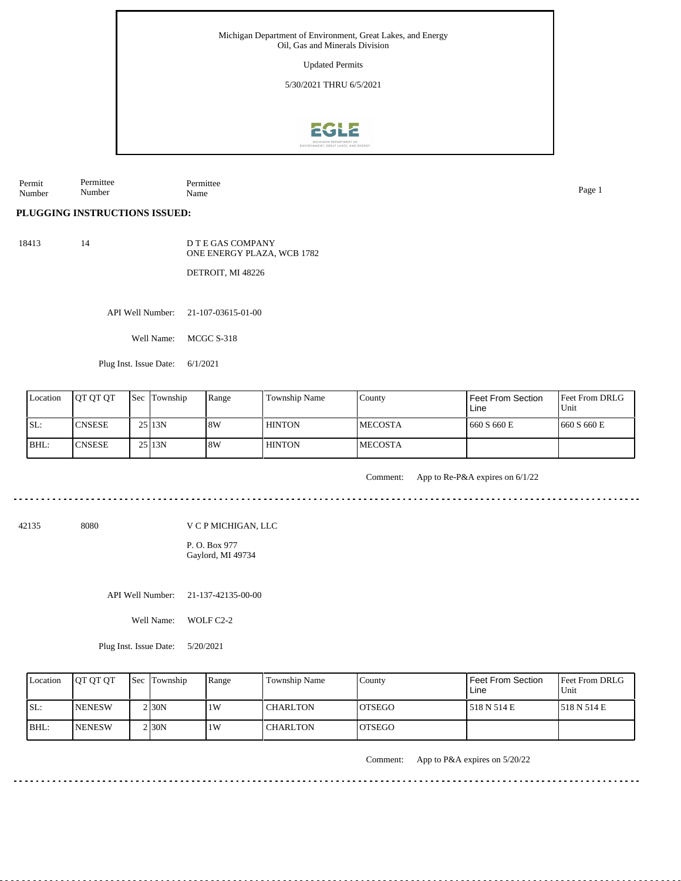Michigan Department of Environment, Great Lakes, and Energy Oil, Gas and Minerals Division

Updated Permits

5/30/2021 THRU 6/5/2021



Permit Number Permittee Number Permittee Name Page 1

**PLUGGING INSTRUCTIONS ISSUED:**

18413 14

D T E GAS COMPANY ONE ENERGY PLAZA, WCB 1782

DETROIT, MI 48226

API Well Number: 21-107-03615-01-00

Well Name: MCGC S-318

Plug Inst. Issue Date: 6/1/2021

| Location | <b>IOT OT OT</b> | <b>Sec</b> Township | Range | Township Name | County          | <b>Feet From Section</b><br>Line | <b>Feet From DRLG</b><br>Unit |
|----------|------------------|---------------------|-------|---------------|-----------------|----------------------------------|-------------------------------|
| ISL:     | <b>ICNSESE</b>   | 25 13N              | 18W   | <b>HINTON</b> | <b>IMECOSTA</b> | 660 S 660 E                      | 1660 S 660 E                  |
| BHL:     | <b>CNSESE</b>    | 25 13N              | 18W   | <b>HINTON</b> | <b>IMECOSTA</b> |                                  |                               |

Comment: App to Re-P&A expires on 6/1/22

. . . . . . . . . . . . . . . . . .

42135 8080

V C P MICHIGAN, LLC

P. O. Box 977 Gaylord, MI 49734

API Well Number: 21-137-42135-00-00

Well Name: WOLF C2-2

Plug Inst. Issue Date: 5/20/2021

| Location | <b>IOT OT OT</b> | <b>Sec</b> Township | Range | Township Name   | County         | <b>Feet From Section</b><br>Line | Feet From DRLG<br>Unit |
|----------|------------------|---------------------|-------|-----------------|----------------|----------------------------------|------------------------|
| ISL:     | <b>INENESW</b>   | 2 I30N              | 1W    | <b>CHARLTON</b> | <b>IOTSEGO</b> | 1518 N 514 E                     | 1518 N 514 E           |
| IBHL:    | <b>INENESW</b>   | 2 I 30 N            | 1W    | <b>CHARLTON</b> | <b>IOTSEGO</b> |                                  |                        |

Comment: App to P&A expires on 5/20/22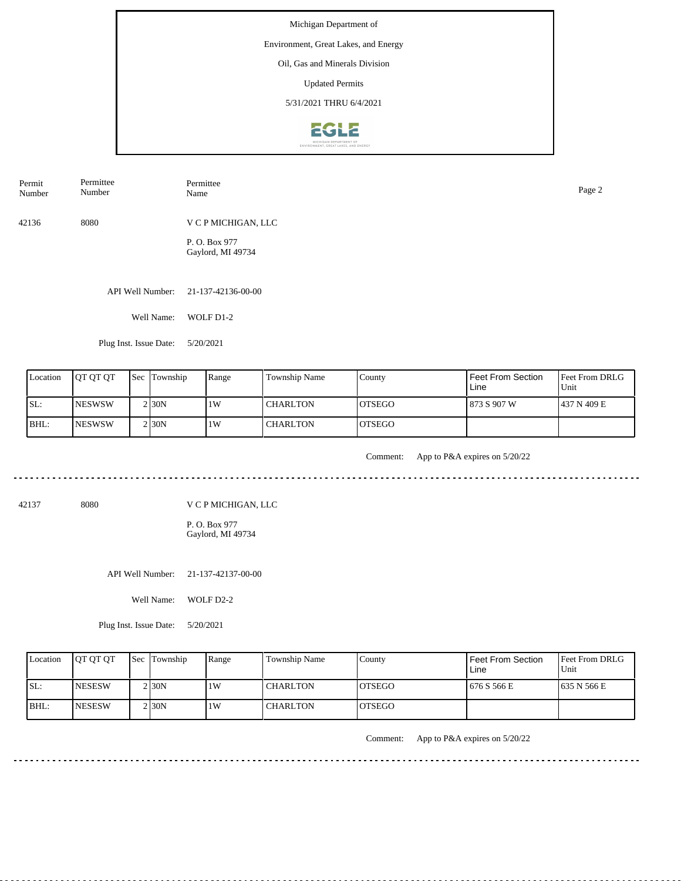Michigan Department of Environment, Great Lakes, and Energy Oil, Gas and Minerals Division Updated Permits 5/31/2021 THRU 6/4/2021**EGLE** 

| Permit<br>Number | Permittee<br>Number | Permittee<br>Name                   | Page 2 |
|------------------|---------------------|-------------------------------------|--------|
| 42136            | 8080                | V C P MICHIGAN, LLC                 |        |
|                  |                     | P.O. Box 977<br>Gaylord, MI 49734   |        |
|                  |                     | API Well Number: 21-137-42136-00-00 |        |
|                  | Well Name:          | WOLF D1-2                           |        |

Plug Inst. Issue Date: 5/20/2021

| Location | <b>IOT OT OT</b> | <b>Sec Township</b> | Range | Township Name | County         | Feet From Section<br>Line | <b>Feet From DRLG</b><br>Unit |
|----------|------------------|---------------------|-------|---------------|----------------|---------------------------|-------------------------------|
| SL:      | <b>NESWSW</b>    | 2 <sub>30</sub> N   | 1W    | I CHARLTON    | IOTSEGO        | 873 S 907 W               | 1437 N 409 E                  |
| BHL:     | <b>NESWSW</b>    | $2$ <sub>30</sub> N | 1W    | l CHARLTON    | <b>IOTSEGO</b> |                           |                               |

<u>. . . . . . . . . . . . . .</u>

Comment: App to P&A expires on 5/20/22

42137 8080

V C P MICHIGAN, LLC

P. O. Box 977 Gaylord, MI 49734

API Well Number: 21-137-42137-00-00

Well Name: WOLF D2-2

Plug Inst. Issue Date: 5/20/2021

| Location | <b>IOT OT OT</b> | <b>Sec Township</b> | Range | <b>Township Name</b> | Countv         | Feet From Section<br>Line | <b>Feet From DRLG</b><br>Unit |
|----------|------------------|---------------------|-------|----------------------|----------------|---------------------------|-------------------------------|
| SL:      | <b>INESESW</b>   | 2 I 30 N            | 1 W   | <b>CHARLTON</b>      | <b>IOTSEGO</b> | 1 676 S 566 E             | 1635 N 566 E                  |
| IBHL:    | <b>INESESW</b>   | 2 I 30 N            | 1W    | <b>CHARLTON</b>      | <b>LOTSEGO</b> |                           |                               |

Comment: App to P&A expires on 5/20/22

. . . . . . . . . . . . . . . . . . . .

<u>. . . . . . . . . . . . . . . . .</u>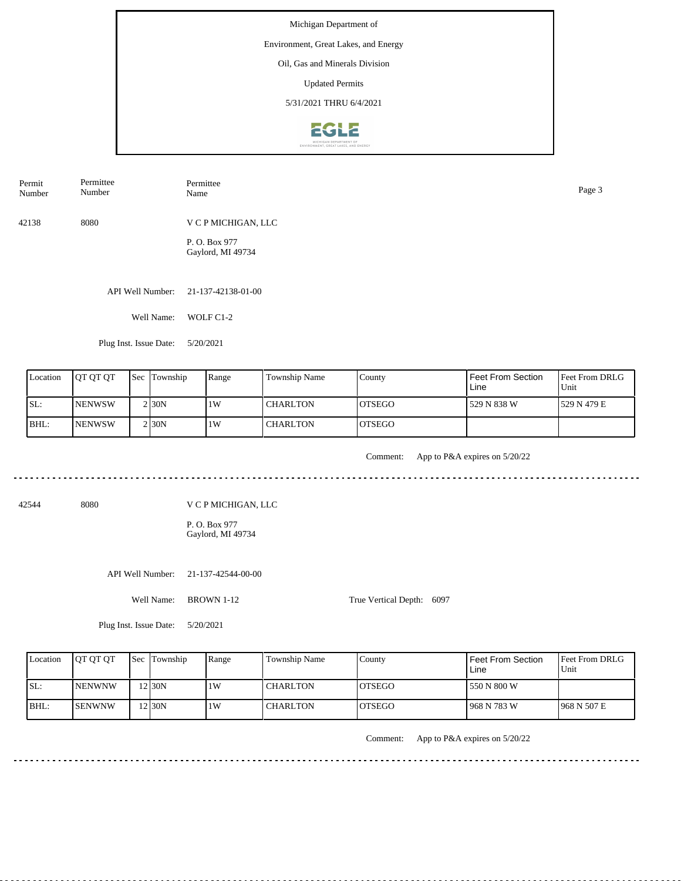Michigan Department of Environment, Great Lakes, and Energy Oil, Gas and Minerals Division Updated Permits 5/31/2021 THRU 6/4/2021**EGLE** 

| Permit<br>Number | Permittee<br>Number | Permittee<br>Name                 | Page 3 |
|------------------|---------------------|-----------------------------------|--------|
| 42138            | 8080                | V C P MICHIGAN, LLC               |        |
|                  |                     | P.O. Box 977<br>Gaylord, MI 49734 |        |
|                  | API Well Number:    | 21-137-42138-01-00                |        |
|                  | Well Name:          | WOLF C1-2                         |        |

Plug Inst. Issue Date: 5/20/2021

| Location | <b>IOT OT OT</b> | <b>Sec Township</b> | Range | Township Name | County         | Feet From Section<br>Line | Feet From DRLG<br>Unit |
|----------|------------------|---------------------|-------|---------------|----------------|---------------------------|------------------------|
| SL:      | <b>NENWSW</b>    | $2$ <sub>30</sub> N | 1W    | l CHARLTON    | IOTSEGO        | 529 N 838 W               | 1529 N 479 E           |
| BHL:     | <b>NENWSW</b>    | $2$ <sub>30</sub> N | 1W    | l CHARLTON    | <b>IOTSEGO</b> |                           |                        |

. . . . . . . . . . . . . . . .

Comment: App to P&A expires on 5/20/22

42544 8080

V C P MICHIGAN, LLC

P. O. Box 977 Gaylord, MI 49734

API Well Number: 21-137-42544-00-00

Well Name: BROWN 1-12

True Vertical Depth: 6097

Plug Inst. Issue Date: 5/20/2021

| Location | <b>IOT OT OT</b> | <b>Sec Township</b> | Range | Township Name   | County         | Feet From Section<br>Line | <b>Feet From DRLG</b><br>Unit |
|----------|------------------|---------------------|-------|-----------------|----------------|---------------------------|-------------------------------|
| ISL:     | <b>INENWNW</b>   | $2$  30N            | 1W    | <b>CHARLTON</b> | <b>IOTSEGO</b> | 550 N 800 W               |                               |
| BHL:     | <b>ISENWNW</b>   | $2$ 30N             | 1W    | <b>CHARLTON</b> | <b>OTSEGO</b>  | 968 N 783 W               | 1968 N 507 E                  |

Comment: App to P&A expires on 5/20/22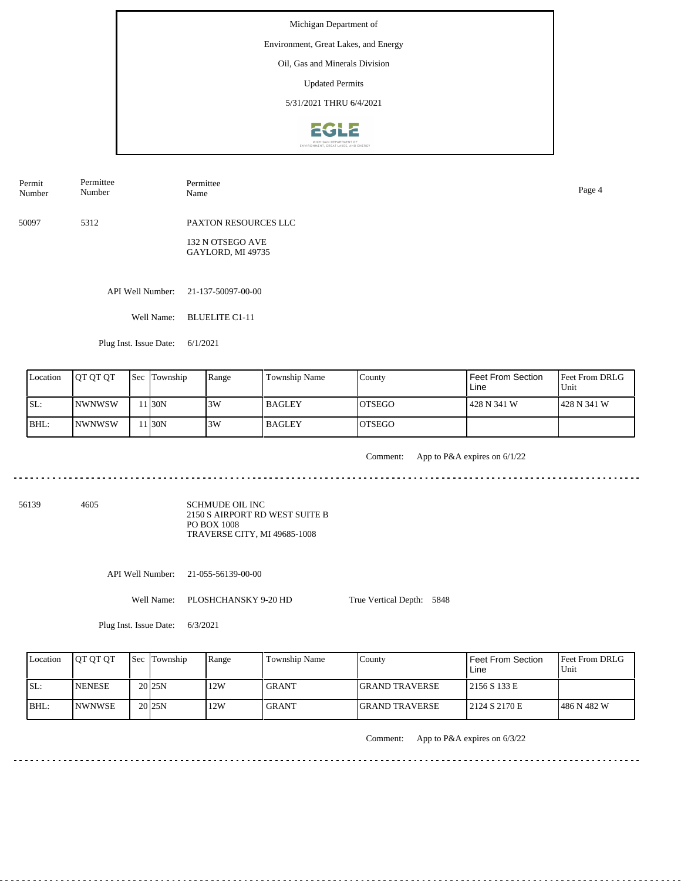#### Environment, Great Lakes, and Energy

# Oil, Gas and Minerals Division

Updated Permits

5/31/2021 THRU 6/4/2021



50097 5312 PAXTON RESOURCES LLC Permit Number Permittee Number Permittee Name Page 4

> 132 N OTSEGO AVE GAYLORD, MI 49735

API Well Number: 21-137-50097-00-00

Well Name: BLUELITE C1-11

Plug Inst. Issue Date: 6/1/2021

| Location | <b>OT OT OT</b> | <b>Sec Township</b> | Range | Township Name | County         | Feet From Section<br>Line | Feet From DRLG<br>Unit |
|----------|-----------------|---------------------|-------|---------------|----------------|---------------------------|------------------------|
| SL:      | <b>INWNWSW</b>  | $1$ <sub>30</sub> N | 3W    | l BAGLEY      | IOTSEGO        | 428 N 341 W               | 1428 N 341 W           |
| BHL:     | <b>INWNWSW</b>  | 1 30N               | 3W    | l BAGLEY      | <b>IOTSEGO</b> |                           |                        |

<u>. . . . . . . . .</u>

Comment: App to P&A expires on 6/1/22

. . . . . . . . . . . . . . . . . .

56139 4605

SCHMUDE OIL INC 2150 S AIRPORT RD WEST SUITE B PO BOX 1008 TRAVERSE CITY, MI 49685-1008

API Well Number: 21-055-56139-00-00

Well Name: PLOSHCHANSKY 9-20 HD

True Vertical Depth: 5848

Plug Inst. Issue Date: 6/3/2021

| Location | <b>IOT OT OT</b> | <b>Sec</b> Township | Range | Township Name | County                 | l Feet From Section<br>Line | <b>Feet From DRLG</b><br>Unit |
|----------|------------------|---------------------|-------|---------------|------------------------|-----------------------------|-------------------------------|
| ISL:     | <b>NENESE</b>    | 20 <sub>25N</sub>   | 12W   | <b>GRANT</b>  | <b>IGRAND TRAVERSE</b> | 12156 S 133 E               |                               |
| BHL:     | <b>INWNWSE</b>   | 20 <sub>25N</sub>   | 12W   | <b>GRANT</b>  | <b>IGRAND TRAVERSE</b> | 12124 S 2170 E              | 1486 N 482 W                  |

Comment: App to P&A expires on 6/3/22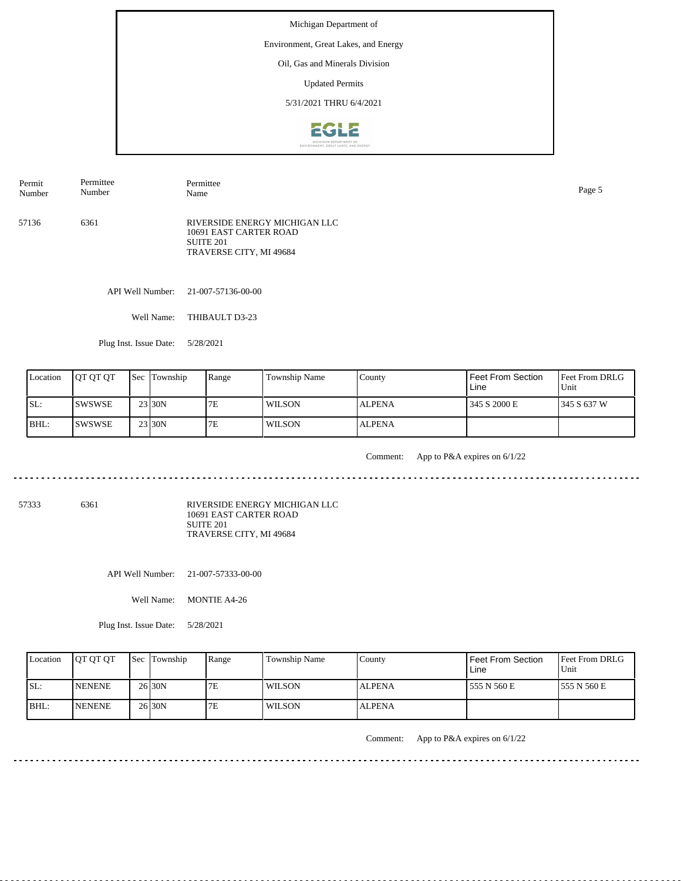Environment, Great Lakes, and Energy

# Oil, Gas and Minerals Division

Updated Permits

5/31/2021 THRU 6/4/2021



57136 6361 RIVERSIDE ENERGY MICHIGAN LLC 10691 EAST CARTER ROAD SUITE 201 TRAVERSE CITY, MI 49684 Permit Number Permittee Number Permittee Name Page 5

API Well Number: 21-007-57136-00-00

Well Name: THIBAULT D3-23

Plug Inst. Issue Date: 5/28/2021

| Location | <b>IOT OT OT</b> | <b>Sec Township</b> | Range | Township Name | County        | <b>Feet From Section</b><br>Line | <b>Feet From DRLG</b><br>l Unit |
|----------|------------------|---------------------|-------|---------------|---------------|----------------------------------|---------------------------------|
| ISL:     | ISWSWSE          | 23 30N              | 7E    | I WILSON      | <b>ALPENA</b> | 345 S 2000 E                     | 1345 S 637 W                    |
| BHL:     | ISWSWSE          | $23$ 30N            | 7E    | WILSON        | <b>ALPENA</b> |                                  |                                 |

<u>. . . . . . . . .</u>

Comment: App to P&A expires on 6/1/22

57333 6361

RIVERSIDE ENERGY MICHIGAN LLC 10691 EAST CARTER ROAD SUITE 201 TRAVERSE CITY, MI 49684

API Well Number: 21-007-57333-00-00

Well Name: MONTIE A4-26

Plug Inst. Issue Date: 5/28/2021

| Location | <b>OT OT OT</b> | <b>Sec</b> Township | Range | Township Name | County        | Feet From Section<br>Line | Feet From DRLG<br>Unit |
|----------|-----------------|---------------------|-------|---------------|---------------|---------------------------|------------------------|
| ISL:     | <b>INENENE</b>  | 26 <sub>30</sub> N  | 7E    | <b>WILSON</b> | <b>ALPENA</b> | 555 N 560 E               | 1555 N 560 E           |
| BHL:     | <b>INENENE</b>  | 26 <sub>130</sub> N | 7E    | <b>WILSON</b> | <b>ALPENA</b> |                           |                        |

Comment: App to P&A expires on 6/1/22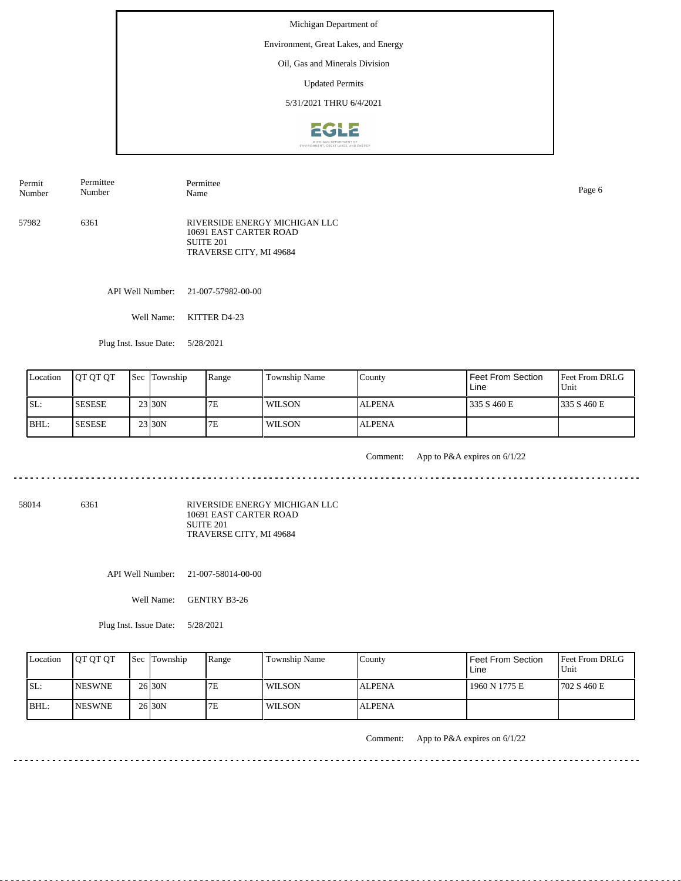Environment, Great Lakes, and Energy

# Oil, Gas and Minerals Division

Updated Permits

5/31/2021 THRU 6/4/2021



57982 6361 RIVERSIDE ENERGY MICHIGAN LLC 10691 EAST CARTER ROAD SUITE 201 TRAVERSE CITY, MI 49684 Permit Number Permittee Number Permittee Name Page 6

API Well Number: 21-007-57982-00-00

Well Name: KITTER D4-23

Plug Inst. Issue Date: 5/28/2021

| Location | <b>IOT OT OT</b> | <b>Sec</b> Township | Range | Township Name | County        | Feet From Section<br>Line | <b>Feet From DRLG</b><br>Unit |
|----------|------------------|---------------------|-------|---------------|---------------|---------------------------|-------------------------------|
| ISL:     | <b>SESESE</b>    | $23$ 30N            | 7E    | WILSON        | <b>ALPENA</b> | 335 S 460 E               | 1335 S 460 E                  |
| BHL:     | <b>SESESE</b>    | 23 30N              | 7E    | l WILSON      | <b>ALPENA</b> |                           |                               |

<u>. . . . . . . .</u>

Comment: App to P&A expires on 6/1/22

<u>. . . . . . . .</u>

58014 6361

RIVERSIDE ENERGY MICHIGAN LLC 10691 EAST CARTER ROAD SUITE 201 TRAVERSE CITY, MI 49684

API Well Number: 21-007-58014-00-00

Well Name: GENTRY B3-26

Plug Inst. Issue Date: 5/28/2021

| Location | <b>OT OT OT</b> | <b>Sec</b> Township | Range | Township Name | County        | Feet From Section<br>Line | <b>Feet From DRLG</b><br>Unit |
|----------|-----------------|---------------------|-------|---------------|---------------|---------------------------|-------------------------------|
| SL:      | <b>INESWNE</b>  | 26 30N              | 7Е    | <b>WILSON</b> | <b>ALPENA</b> | 1960 N 1775 E             | 1702 S 460 E                  |
| BHL:     | <b>INESWNE</b>  | 26 30N              | 7Ε    | <b>WILSON</b> | <b>ALPENA</b> |                           |                               |

Comment: App to P&A expires on 6/1/22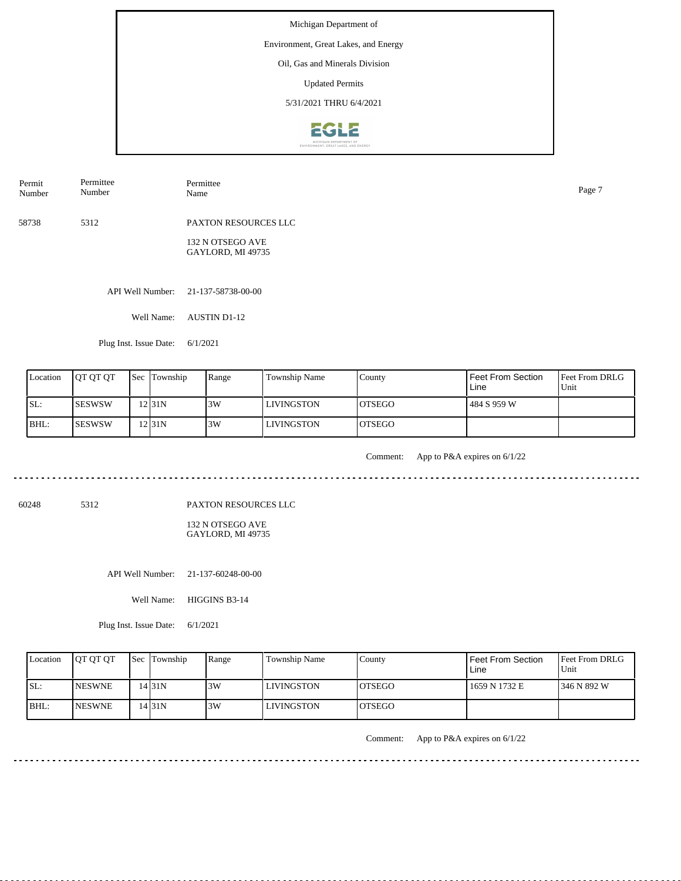#### Environment, Great Lakes, and Energy

# Oil, Gas and Minerals Division

Updated Permits

5/31/2021 THRU 6/4/2021



| Permit<br>Number | Permittee<br>Number | Permittee<br>Name                     | Page 7 |
|------------------|---------------------|---------------------------------------|--------|
| 58738            | 5312                | <b>PAXTON RESOURCES LLC</b>           |        |
|                  |                     | 132 N OTSEGO AVE<br>GAYLORD, MI 49735 |        |

API Well Number: 21-137-58738-00-00

Well Name: AUSTIN D1-12

Plug Inst. Issue Date: 6/1/2021

| Location | <b>IOT OT OT</b> | <b>Sec</b> Township | Range | Township Name | County         | Feet From Section<br>Line | <b>Feet From DRLG</b><br>l Unit |
|----------|------------------|---------------------|-------|---------------|----------------|---------------------------|---------------------------------|
| ISL:     | ISESWSW          | $2$ 31N             | 3W    | LIVINGSTON    | <b>IOTSEGO</b> | 484 S 959 W               |                                 |
| BHL:     | ISESWSW          | $2$ 31N             | 3W    | LIVINGSTON    | <b>OTSEGO</b>  |                           |                                 |

. . . . . . . . . . . .

Comment: App to P&A expires on 6/1/22

60248 5312

PAXTON RESOURCES LLC

132 N OTSEGO AVE GAYLORD, MI 49735

API Well Number: 21-137-60248-00-00

Well Name: HIGGINS B3-14

Plug Inst. Issue Date: 6/1/2021

| Location | <b>IOT OT OT</b> | <b>Sec Township</b> | Range | Township Name     | County  | l Feet From Section<br>Line | Feet From DRLG<br>Unit |
|----------|------------------|---------------------|-------|-------------------|---------|-----------------------------|------------------------|
| ISL:     | <b>INESWNE</b>   | 4 <sub>31N</sub>    | 3W    | <b>LIVINGSTON</b> | IOTSEGO | 1659 N 1732 E               | 1346 N 892 W           |
| IBHL:    | <b>INESWNE</b>   | 4 31N               | 3W    | <b>LIVINGSTON</b> | IOTSEGO |                             |                        |

Comment: App to P&A expires on 6/1/22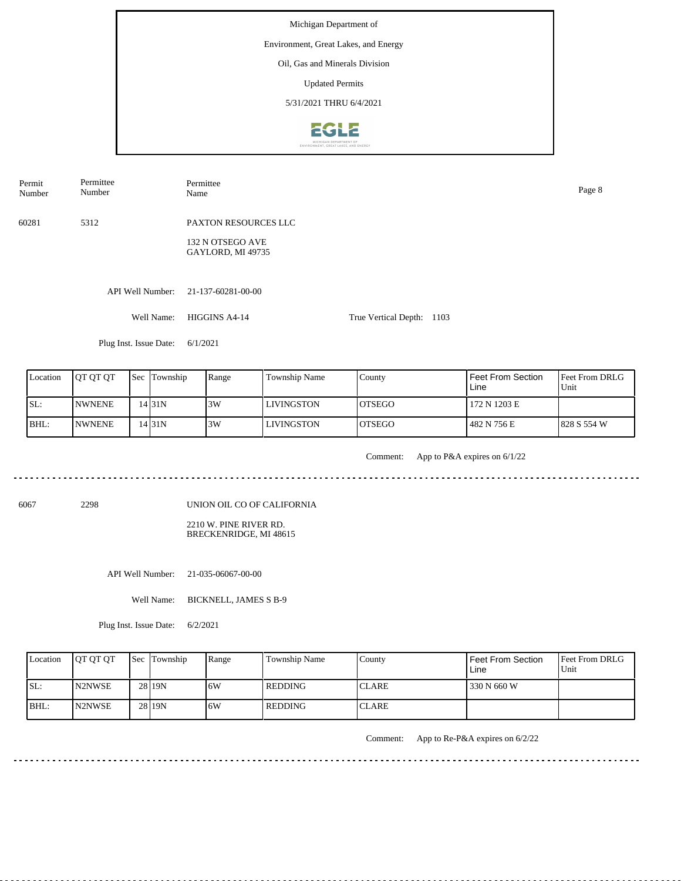Michigan Department of Environment, Great Lakes, and Energy Oil, Gas and Minerals Division Updated Permits 5/31/2021 THRU 6/4/2021**EGLE** 

API Well Number: 21-137-60281-00-00 Well Name: HIGGINS A4-14 Plug Inst. Issue Date: 6/1/2021 True Vertical Depth: 1103 60281 5312 PAXTON RESOURCES LLC 132 N OTSEGO AVE GAYLORD, MI 49735 Permit Number Permittee Number Permittee Name Page 8

| Location | <b>OT OT OT</b> | 'Sec | Township | Range | Township Name     | County         | <b>Feet From Section</b><br>Line | <b>IFeet From DRLG</b><br>Unit |
|----------|-----------------|------|----------|-------|-------------------|----------------|----------------------------------|--------------------------------|
| SL:      | <b>NWNENE</b>   |      | !4 31 N  | 3W    | <b>LIVINGSTON</b> | IOTSEGO        | 172 N 1203 E                     |                                |
| BHL:     | <b>NWNENE</b>   |      | !4 31 N  | 3W    | LIVINGSTON        | <b>IOTSEGO</b> | 482 N 756 E                      | 1828 S 554 W                   |

<u>. . . . . . .</u>

Comment: App to P&A expires on 6/1/22

6067 2298

UNION OIL CO OF CALIFORNIA

2210 W. PINE RIVER RD. BRECKENRIDGE, MI 48615

API Well Number: 21-035-06067-00-00

Well Name: BICKNELL, JAMES S B-9

Plug Inst. Issue Date: 6/2/2021

| Location | <b>IOT OT OT</b> | <b>Sec Township</b> | Range | <b>Township Name</b> | County        | <b>Feet From Section</b><br>Line | <b>Feet From DRLG</b><br>Unit |
|----------|------------------|---------------------|-------|----------------------|---------------|----------------------------------|-------------------------------|
| ISL:     | <b>IN2NWSE</b>   | 28 19N              | 6W    | l REDDING            | <b>ICLARE</b> | 330 N 660 W                      |                               |
| IBHL:    | <b>IN2NWSE</b>   | 28 19N              | 6W    | l REDDING            | <b>CLARE</b>  |                                  |                               |

Comment: App to Re-P&A expires on 6/2/22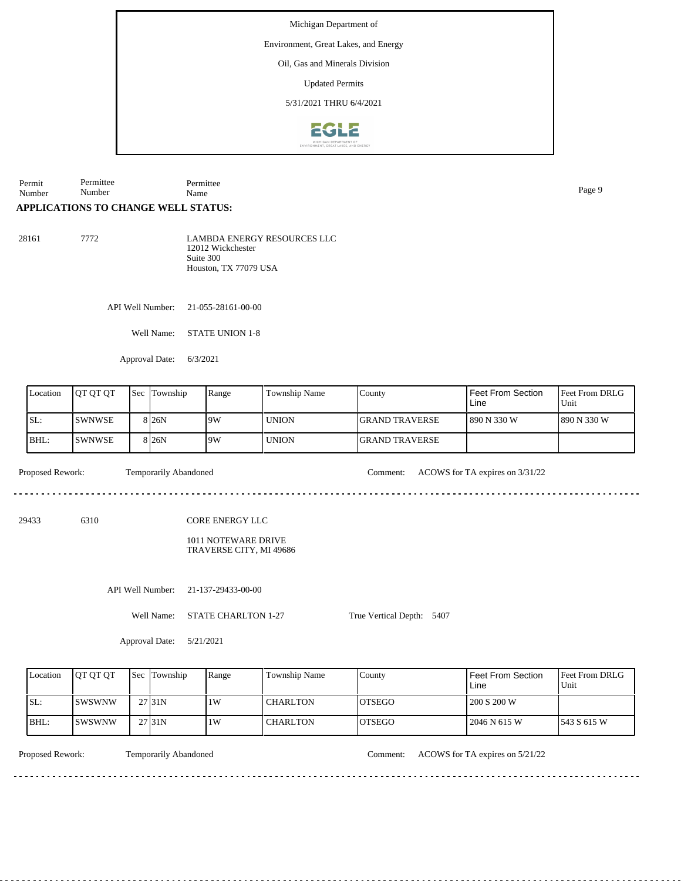Environment, Great Lakes, and Energy

#### Oil, Gas and Minerals Division

Updated Permits

5/31/2021 THRU 6/4/2021



Permit Number Permittee Number Permittee Name Page 9

#### **APPLICATIONS TO CHANGE WELL STATUS:**

28161 7772 LAMBDA ENERGY RESOURCES LLC 12012 Wickchester Suite 300 Houston, TX 77079 USA

API Well Number: 21-055-28161-00-00

Well Name: STATE UNION 1-8

Approval Date: 6/3/2021

| Location | <b>IOT OT OT</b> | <b>Sec</b> | Township          | Range | <b>Township Name</b> | County                 | I Feet From Section<br>Line | <b>IFeet From DRLG</b><br>Unit |
|----------|------------------|------------|-------------------|-------|----------------------|------------------------|-----------------------------|--------------------------------|
| SL:      | ISWNWSE          |            | 8 <sub>26</sub> N | 9W    | <b>UNION</b>         | <b>IGRAND TRAVERSE</b> | 1 890 N 330 W               | 1890 N 330 W                   |
| BHL:     | ISWNWSE          |            | 8 <sub>26</sub> N | 19W   | <b>UNION</b>         | <b>IGRAND TRAVERSE</b> |                             |                                |

Proposed Rework: Temporarily Abandoned Comment: ACOWS for TA expires on 3/31/22

<u>eeseseseses</u>

<u>e e e e e e e e e e</u>

29433 6310

#### CORE ENERGY LLC

#### 1011 NOTEWARE DRIVE TRAVERSE CITY, MI 49686

API Well Number: 21-137-29433-00-00

Well Name: STATE CHARLTON 1-27

True Vertical Depth: 5407

Approval Date: 5/21/2021

| Location | <b>IOT OT OT</b> | 'Sec | Township            | Range | Township Name   | County         | l Feet From Section .<br>Line | <b>Feet From DRLG</b><br>Unit |
|----------|------------------|------|---------------------|-------|-----------------|----------------|-------------------------------|-------------------------------|
| SL:      | ISWSWNW          |      | 27 <sub>131</sub> N | 1W    | <b>CHARLTON</b> | <b>IOTSEGO</b> | 200 S 200 W                   |                               |
| BHL:     | ISWSWNW          |      | 27 <sub>131</sub> N | 1W    | <b>CHARLTON</b> | <b>IOTSEGO</b> | 2046 N 615 W                  | 1543 S 615 W                  |

Temporarily Abandoned

Proposed Rework: Temporarily Abandoned Comment: ACOWS for TA expires on 5/21/22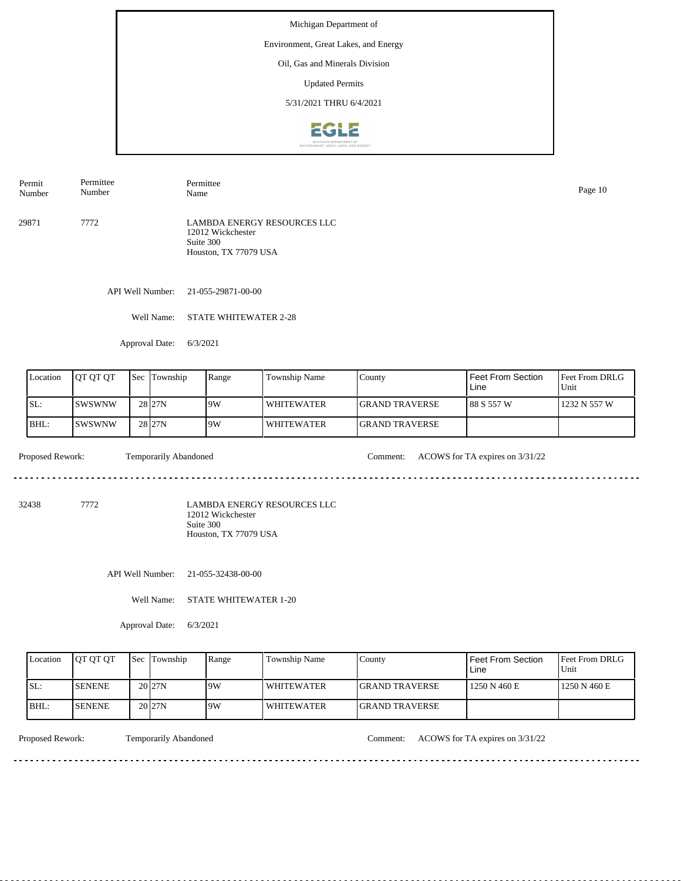Environment, Great Lakes, and Energy

## Oil, Gas and Minerals Division

Updated Permits

5/31/2021 THRU 6/4/2021



29871 7772 LAMBDA ENERGY RESOURCES LLC 12012 Wickchester Suite 300 Houston, TX 77079 USA Permit Number Permittee Number Permittee Name Page 10

API Well Number: 21-055-29871-00-00

Well Name: STATE WHITEWATER 2-28

Approval Date: 6/3/2021

| Location | <b>IOT OT OT</b> | <b>Sec</b> | Township          | Range | Township Name     | County                 | Feet From Section<br>Line | <b>Feet From DRLG</b><br>Unit |
|----------|------------------|------------|-------------------|-------|-------------------|------------------------|---------------------------|-------------------------------|
| ISL:     | ISWSWNW          |            | 28 27N            | 9W    | WHITEWATER        | <b>IGRAND TRAVERSE</b> | l 88 S 557 W              | 1232 N 557 W                  |
| BHL:     | <b>SWSWNW</b>    |            | 28 <sub>27N</sub> | 19W   | <b>WHITEWATER</b> | <b>IGRAND TRAVERSE</b> |                           |                               |

Proposed Rework: Temporarily Abandoned Comment: ACOWS for TA expires on  $3/31/22$ 

 $\mathcal{L}^{\mathcal{L}}\left( \mathcal{L}^{\mathcal{L}}\left( \mathcal{L}^{\mathcal{L}}\right) \right) =\mathcal{L}^{\mathcal{L}}\left( \mathcal{L}^{\mathcal{L}}\right)$ 

<u>. . . . . . . . . . .</u>

32438 7772

LAMBDA ENERGY RESOURCES LLC 12012 Wickchester Suite 300 Houston, TX 77079 USA

API Well Number: 21-055-32438-00-00

Well Name: STATE WHITEWATER 1-20

Approval Date: 6/3/2021

| Location | <b>IOT OT OT</b> | <b>Sec Township</b> | Range | Township Name     | County                 | <b>Feet From Section</b><br>∟ine | <b>Feet From DRLG</b><br>Unit |
|----------|------------------|---------------------|-------|-------------------|------------------------|----------------------------------|-------------------------------|
| ISL:     | <b>ISENENE</b>   | 20 <sub>27N</sub>   | 9W    | <b>WHITEWATER</b> | <b>IGRAND TRAVERSE</b> | 1250 N 460 E                     | 1250 N 460 E                  |
| BHL:     | <b>ISENENE</b>   | 20 <sub>127N</sub>  | 9W    | WHITEWATER        | <b>IGRAND TRAVERSE</b> |                                  |                               |

Proposed Rework: Temporarily Abandoned Comment: ACOWS for TA expires on  $3/31/22$ 

<u>. . . . . . . .</u>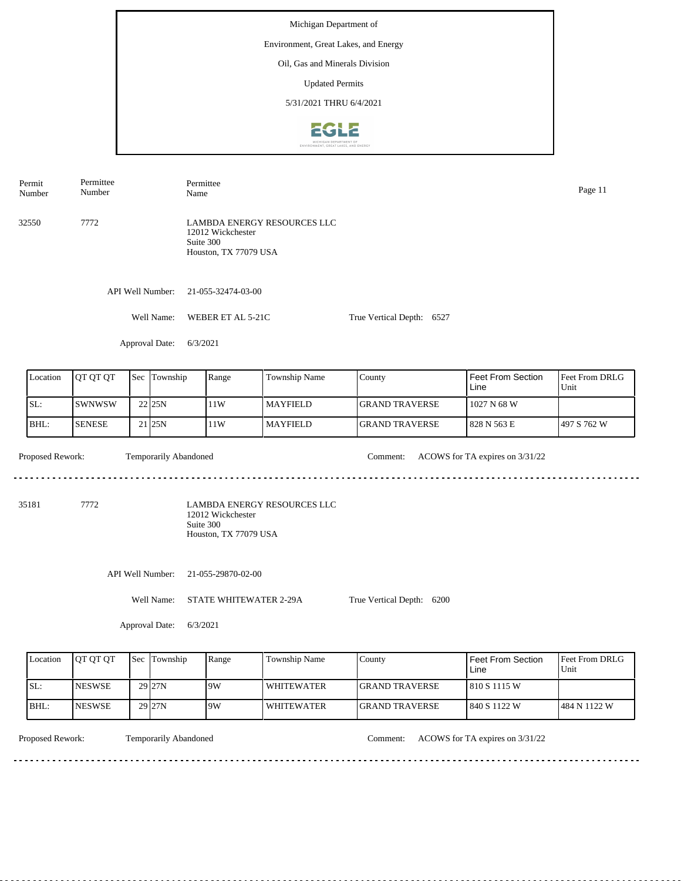Michigan Department of Environment, Great Lakes, and Energy Oil, Gas and Minerals Division Updated Permits 5/31/2021 THRU 6/4/20212612

Permittee Permit Permittee Number Name Page 11 Number 32550 7772 LAMBDA ENERGY RESOURCES LLC 12012 Wickchester Suite 300 Houston, TX 77079 USA API Well Number: 21-055-32474-03-00 Well Name: WEBER ET AL 5-21C True Vertical Depth: 6527 Approval Date: 6/3/2021 Feet From Section Location | QT QT QT | Sec | Township | Range | Township Name Sec Township County Feet From DRLG Line Unit SL: SWNWSW 11W MAYFIELD GRAND TRAVERSE 1027 N 68 W 22 25N BHL: SENESE 21 25N 11W MAYFIELD GRAND TRAVERSE 828 N 563 E 497 S 762 W Proposed Rework: Temporarily Abandoned Comment: ACOWS for TA expires on  $3/31/22$ Temporarily Abandoned <u>. . . . . . . . . .</u> 35181 7772 LAMBDA ENERGY RESOURCES LLC 12012 Wickchester Suite 300 Houston, TX 77079 USA API Well Number: 21-055-29870-02-00 Well Name: STATE WHITEWATER 2-29A True Vertical Depth: 6200 Approval Date: 6/3/2021

| Location | <b>OT OT OT</b> | <b>Sec Township</b> | Range | <b>Township Name</b> | County                 | I Feet From Section<br>Line | <b>Feet From DRLG</b><br>Unit |
|----------|-----------------|---------------------|-------|----------------------|------------------------|-----------------------------|-------------------------------|
| ISL:     | <b>INESWSE</b>  | 29 <sub>27N</sub>   | 9W    | <b>WHITEWATER</b>    | <b>IGRAND TRAVERSE</b> | 1810 S 1115 W               |                               |
| BHL:     | <b>INESWSE</b>  | 29 <sub>27N</sub>   | 9W    | <b>WHITEWATER</b>    | <b>IGRAND TRAVERSE</b> | 1840 S 1122 W               | 484 N 1122 W                  |

Temporarily Abandoned

Proposed Rework: Temporarily Abandoned Comment: ACOWS for TA expires on  $3/31/22$ 

<u>. . . . . . . . .</u>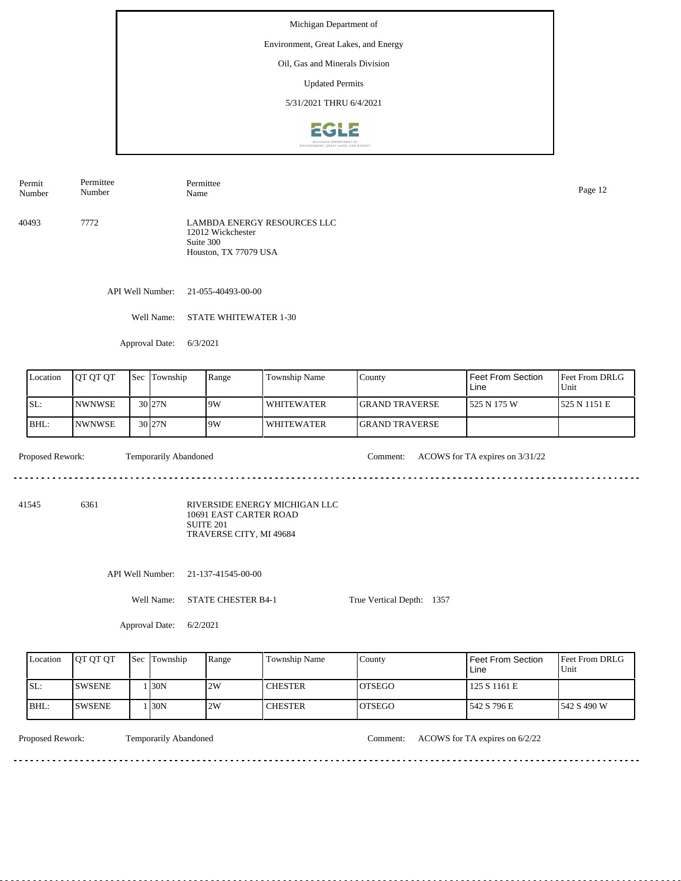Environment, Great Lakes, and Energy

## Oil, Gas and Minerals Division

Updated Permits

5/31/2021 THRU 6/4/2021



Permit Number Permittee Number Permittee Name Page 12

40493 7772 LAMBDA ENERGY RESOURCES LLC 12012 Wickchester Suite 300 Houston, TX 77079 USA

API Well Number: 21-055-40493-00-00

Well Name: STATE WHITEWATER 1-30

Approval Date: 6/3/2021

| Location | <b>JOT OT OT</b> | l Sec | Township           | Range | Township Name     | County                 | Feet From Section<br>Line | Feet From DRLG<br>Unit |
|----------|------------------|-------|--------------------|-------|-------------------|------------------------|---------------------------|------------------------|
| SL:      | INWNWSE          |       | 30 <sub>127N</sub> | 19W   | <b>WHITEWATER</b> | <b>IGRAND TRAVERSE</b> | 1525 N 175 W              | 1525 N 1151 E          |
| BHL:     | INWNWSE          |       | 30 <sub>127N</sub> | 9W    | <b>WHITEWATER</b> | <b>IGRAND TRAVERSE</b> |                           |                        |

<u>. . . . . . . . . .</u>

Proposed Rework: Temporarily Abandoned Comment: ACOWS for TA expires on  $3/31/22$ 

41545 6361

RIVERSIDE ENERGY MICHIGAN LLC 10691 EAST CARTER ROAD SUITE 201 TRAVERSE CITY, MI 49684

API Well Number: 21-137-41545-00-00

Well Name: STATE CHESTER B4-1

True Vertical Depth: 1357

Approval Date: 6/2/2021

| Location | <b>IOT OT OT</b> | <b>Sec Township</b> | Range | <b>Township Name</b> | County         | l Feet From Section<br>Line | <b>Feet From DRLG</b><br>Unit |
|----------|------------------|---------------------|-------|----------------------|----------------|-----------------------------|-------------------------------|
| ISL:     | <b>ISWSENE</b>   | 130N                | 2W    | <b>CHESTER</b>       | <b>IOTSEGO</b> | 125 S 1161 E                |                               |
| IBHL:    | ISWSENE          | 130N                | 2W    | <b>CHESTER</b>       | <b>IOTSEGO</b> | l 542 S 796 E               | 1542 S 490 W                  |

<u>. . . . . . . . . .</u>

Temporarily Abandoned

Proposed Rework: Temporarily Abandoned Comment: ACOWS for TA expires on 6/2/22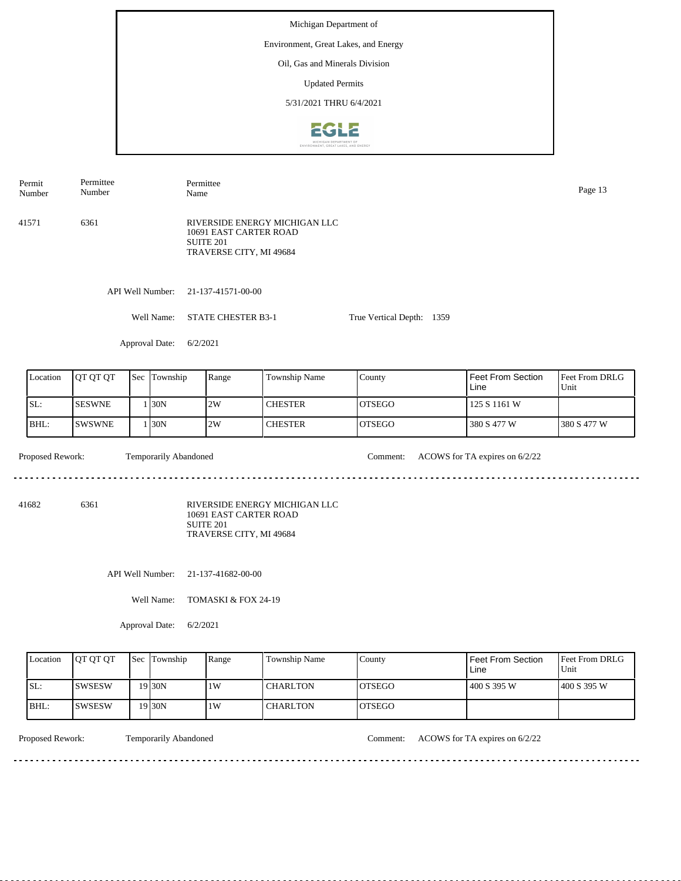Environment, Great Lakes, and Energy

### Oil, Gas and Minerals Division

Updated Permits

5/31/2021 THRU 6/4/2021



| Permit<br>Number | Permittee<br>Number | Permittee<br>Name                                                                               | Page 13 |
|------------------|---------------------|-------------------------------------------------------------------------------------------------|---------|
| 41571            | 6361                | RIVERSIDE ENERGY MICHIGAN LLC<br>10691 EAST CARTER ROAD<br>SUITE 201<br>TRAVERSE CITY, MI 49684 |         |
|                  | A DI Wall Number    | 21.127.41571.00.00                                                                              |         |

Well Number: 21-137-41571-00-00

Well Name: STATE CHESTER B3-1 True Vertical Depth: 1359

Approval Date: 6/2/2021

| Location | <b>OT OT OT</b> | 'Sec | Township | Range | Township Name  | County         | Feet From Section<br>Line | <b>Feet From DRLG</b><br>Unit |
|----------|-----------------|------|----------|-------|----------------|----------------|---------------------------|-------------------------------|
| SL:      | <b>ISESWNE</b>  |      | 130N     | 2W    | <b>CHESTER</b> | IOTSEGO        | 125 S 1161 W              |                               |
| IBHL:    | ISWSWNE         |      | 130N     | 2W    | <b>CHESTER</b> | <b>IOTSEGO</b> | 380 S 477 W               | 1380 S 477 W                  |

<u>. . . . . . . . . . . . . . . . . . .</u>

Temporarily Abandoned

 $- - - - - -$ 

Proposed Rework: Temporarily Abandoned Comment: ACOWS for TA expires on 6/2/22

<u>. . . . . . . . . . . . . . . . . . .</u>

<u>. . . . . . . . . . .</u>

41682 6361

RIVERSIDE ENERGY MICHIGAN LLC 10691 EAST CARTER ROAD SUITE 201 TRAVERSE CITY, MI 49684

API Well Number: 21-137-41682-00-00

Well Name: TOMASKI & FOX 24-19

Approval Date: 6/2/2021

| Location | <b>IOT OT OT</b> | <b>Sec Township</b> | Range | Township Name   | County         | Feet From Section<br>Line | <b>Feet From DRLG</b><br>Unit |
|----------|------------------|---------------------|-------|-----------------|----------------|---------------------------|-------------------------------|
| ISL:     | <b>ISWSESW</b>   | 19 <sub>30N</sub>   | 1 W   | <b>CHARLTON</b> | <b>IOTSEGO</b> | 400 S 395 W               | 1400 S 395 W                  |
| IBHL:    | ISWSESW          | 19 <sub>30N</sub>   | 1 W   | <b>CHARLTON</b> | <b>IOTSEGO</b> |                           |                               |

Proposed Rework: Temporarily Abandoned Comment: ACOWS for TA expires on 6/2/22

<u>. . . . . . .</u>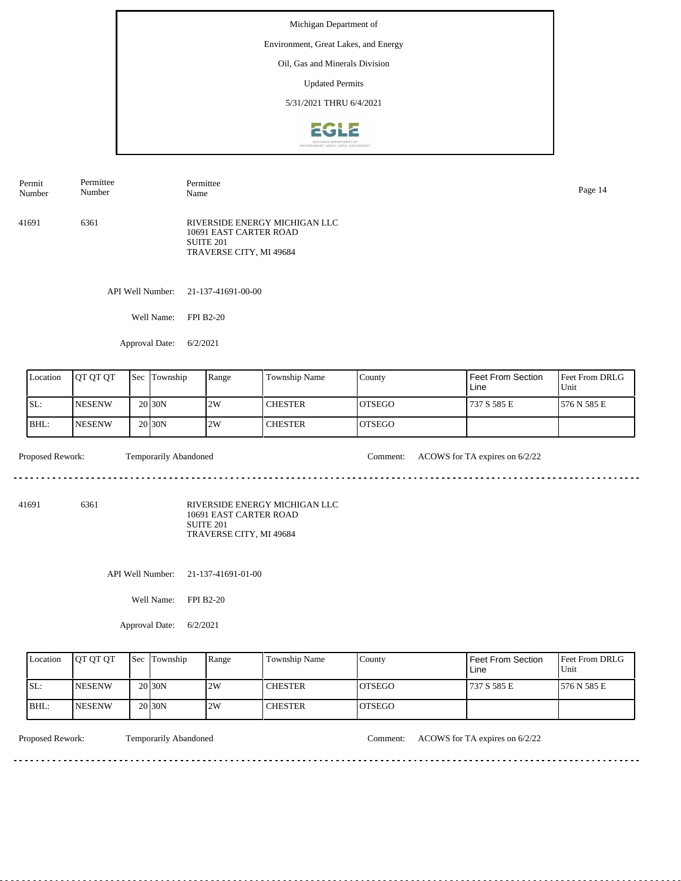Environment, Great Lakes, and Energy

# Oil, Gas and Minerals Division

Updated Permits

5/31/2021 THRU 6/4/2021



| Permit | Permittee | Permittee                                                                                       | Page 14 |
|--------|-----------|-------------------------------------------------------------------------------------------------|---------|
| Number | Number    | Name                                                                                            |         |
| 41691  | 6361      | RIVERSIDE ENERGY MICHIGAN LLC<br>10691 EAST CARTER ROAD<br>SUITE 201<br>TRAVERSE CITY, MI 49684 |         |

API Well Number: 21-137-41691-00-00

Well Name: FPI B2-20

Approval Date: 6/2/2021

| Location | <b>IOT OT OT</b> | <b>Sec</b> | <b>Township</b>    | Range | Township Name | County         | <b>Feet From Section</b><br>Line | Feet From DRLG<br>Unit |
|----------|------------------|------------|--------------------|-------|---------------|----------------|----------------------------------|------------------------|
| ISL:     | <b>INESENW</b>   |            | 20 <sub>30</sub> N | 2W    | l CHESTER     | IOTSEGO        | 737 S 585 E                      | 1576 N 585 E           |
| BHL:     | <b>NESENW</b>    |            | 20 <sub>30</sub> N | 2W    | l CHESTER     | <b>IOTSEGO</b> |                                  |                        |

Proposed Rework: Temporarily Abandoned Comment: ACOWS for TA expires on 6/2/22  $- - - - - -$ 

41691 6361

RIVERSIDE ENERGY MICHIGAN LLC 10691 EAST CARTER ROAD SUITE 201 TRAVERSE CITY, MI 49684

API Well Number: 21-137-41691-01-00

Well Name: FPI B2-20

Approval Date: 6/2/2021

| Location | <b>IOT OT OT</b> | <b>Sec Township</b> | Range | Township Name  | County         | Feet From Section<br>∟ine | <b>Feet From DRLG</b><br>Unit |
|----------|------------------|---------------------|-------|----------------|----------------|---------------------------|-------------------------------|
| ISL:     | <b>INESENW</b>   | 20 <sub>30</sub> N  | 2W    | <b>CHESTER</b> | IOTSEGO        | 737 S 585 E               | 576 N 585 E                   |
| IBHL:    | <b>INESENW</b>   | 20 <sub>30</sub> N  | 2W    | <b>CHESTER</b> | <b>IOTSEGO</b> |                           |                               |

<u>. . . . . . . . .</u>

Proposed Rework: Temporarily Abandoned Comment: ACOWS for TA expires on 6/2/22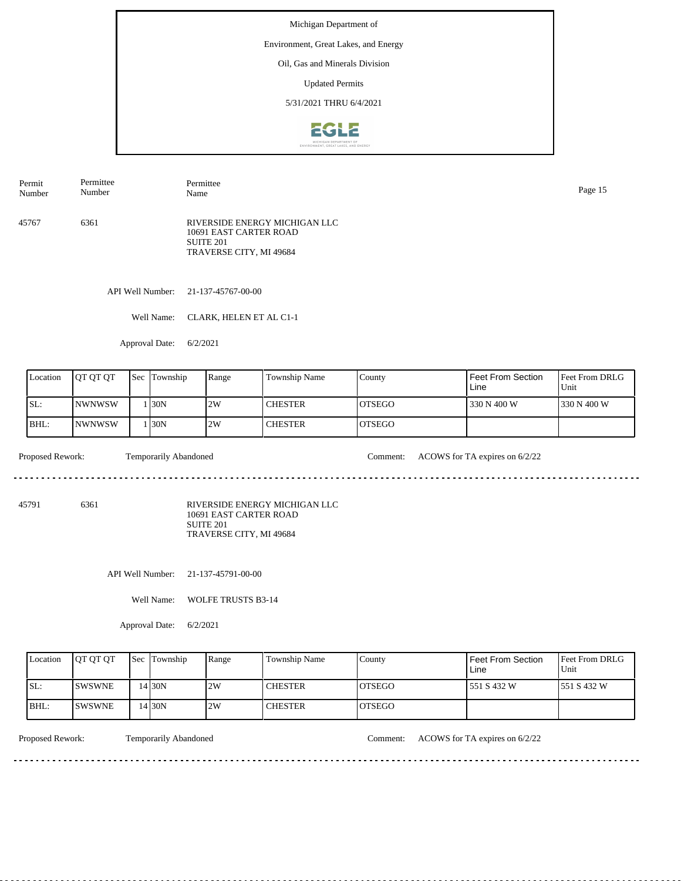Environment, Great Lakes, and Energy

## Oil, Gas and Minerals Division

Updated Permits

5/31/2021 THRU 6/4/2021



45767 6361 RIVERSIDE ENERGY MICHIGAN LLC 10691 EAST CARTER ROAD SUITE 201 TRAVERSE CITY, MI 49684 Permit Number Permittee Number Permittee Name Page 15

API Well Number: 21-137-45767-00-00

Well Name: CLARK, HELEN ET AL C1-1

Approval Date: 6/2/2021

| Location | <b>OT QT QT</b> | <b>Sec</b> | Township        | Range | Township Name  | County         | Feet From Section<br>Line | <b>Feet From DRLG</b><br>Unit |
|----------|-----------------|------------|-----------------|-------|----------------|----------------|---------------------------|-------------------------------|
| SL:      | INWNWSW         |            | $^{\circ}$ 130N | 2W    | <b>CHESTER</b> | IOTSEGO        | 330 N 400 W               | 1330 N 400 W                  |
| BHL:     | INWNWSW         |            | ' I30N          | 2W    | <b>CHESTER</b> | <b>IOTSEGO</b> |                           |                               |

 $\mathcal{L}^{\mathcal{L}}\left( \mathcal{L}^{\mathcal{L}}\left( \mathcal{L}^{\mathcal{L}}\right) \right) =\mathcal{L}^{\mathcal{L}}\left( \mathcal{L}^{\mathcal{L}}\right)$ 

Proposed Rework: Temporarily Abandoned Comment: ACOWS for TA expires on 6/2/22

45791 6361

RIVERSIDE ENERGY MICHIGAN LLC 10691 EAST CARTER ROAD SUITE 201 TRAVERSE CITY, MI 49684

API Well Number: 21-137-45791-00-00

Well Name: WOLFE TRUSTS B3-14

Approval Date: 6/2/2021

| Location | <b>OT OT OT</b> | <b>Sec</b> Township | Range | Township Name  | County         | Feet From Section<br>Line | <b>Feet From DRLG</b><br>Unit |
|----------|-----------------|---------------------|-------|----------------|----------------|---------------------------|-------------------------------|
| ISL:     | <b>ISWSWNE</b>  | 14130N              | 2W    | <b>CHESTER</b> | IOTSEGO        | 551 S 432 W               | 1551 S 432 W                  |
| IBHL:    | <b>ISWSWNE</b>  | 4130N               | 2W    | <b>CHESTER</b> | <b>IOTSEGO</b> |                           |                               |

<u>. . . . . . . .</u>

Proposed Rework: Temporarily Abandoned Comment: ACOWS for TA expires on 6/2/22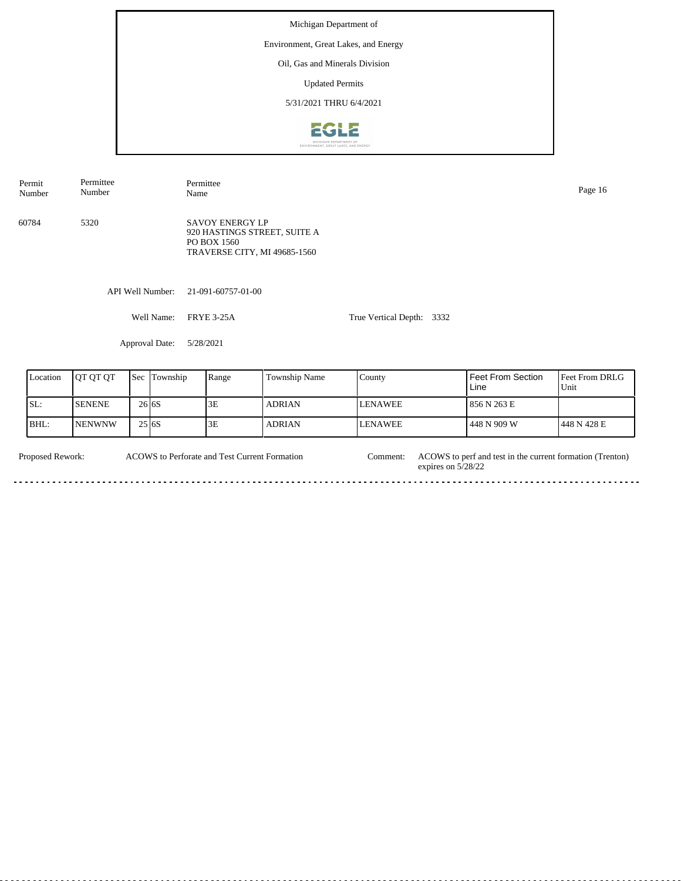Environment, Great Lakes, and Energy

## Oil, Gas and Minerals Division

Updated Permits

5/31/2021 THRU 6/4/2021



API Well Number: 21-091-60757-01-00 Well Name: FRYE 3-25A True Vertical Depth: 3332 60784 5320 SAVOY ENERGY LP 920 HASTINGS STREET, SUITE A PO BOX 1560 TRAVERSE CITY, MI 49685-1560 Permit Number Permittee Number Permittee Name Page 16

Approval Date: 5/28/2021

Feet From DRLG Unit 448 N 428 E 856 N 263 E 448 N 909 W Feet From Section Line County LENAWEE LENAWEE Location QT QT QT Sec Township Range Township Name SL: BHL: SENENE NENWNW Sec Township 26 6S 25 6S 3E 3E ADRIAN ADRIAN

Proposed Rework: ACOWS to Perforate and Test Current Formation Comment: ACOWS to perf and test in the current formation (Trenton) ACOWS to Perforate and Test Current Formation Comment: expires on 5/28/22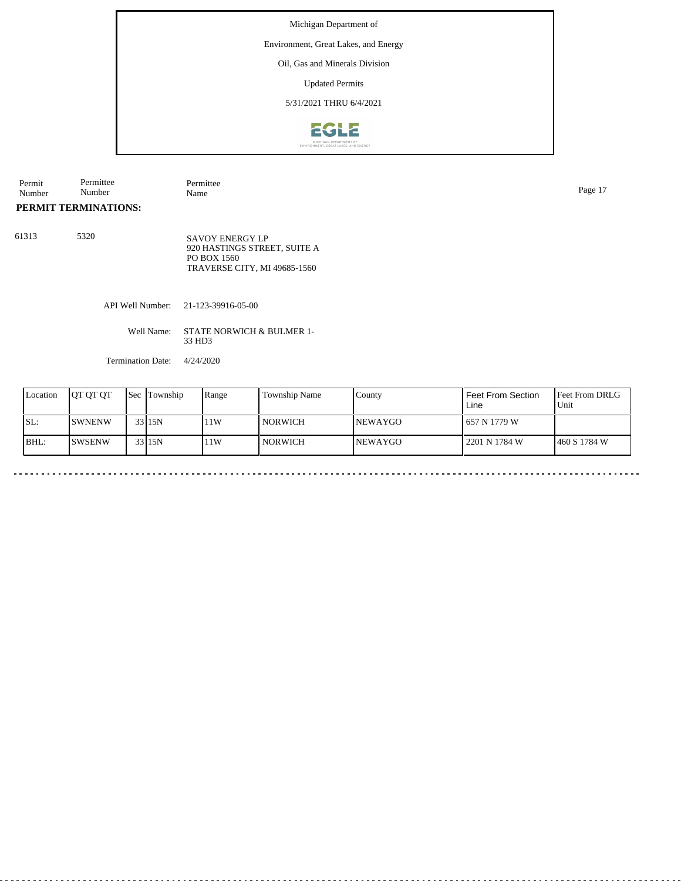Environment, Great Lakes, and Energy

## Oil, Gas and Minerals Division

Updated Permits

5/31/2021 THRU 6/4/2021



| Permit<br>Number | Permittee<br>Number      | Permittee<br>Name                                                                                     | Page 17 |
|------------------|--------------------------|-------------------------------------------------------------------------------------------------------|---------|
|                  | PERMIT TERMINATIONS:     |                                                                                                       |         |
| 61313            | 5320                     | <b>SAVOY ENERGY LP</b><br>920 HASTINGS STREET, SUITE A<br>PO BOX 1560<br>TRAVERSE CITY, MI 49685-1560 |         |
|                  | API Well Number:         | 21-123-39916-05-00                                                                                    |         |
|                  | Well Name:               | <b>STATE NORWICH &amp; BULMER 1-</b><br>33 HD3                                                        |         |
|                  | <b>Termination Date:</b> | 4/24/2020                                                                                             |         |

| Location | <b>OT OT OT</b> | l Sec | <b>Township</b> | Range | Township Name  | Countv          | Feet From Section<br>Line | <b>Feet From DRLG</b><br>Unit |
|----------|-----------------|-------|-----------------|-------|----------------|-----------------|---------------------------|-------------------------------|
| SL:      | <b>SWNENW</b>   |       | 33 15N          | 11W   | <b>NORWICH</b> | <b>INEWAYGO</b> | 657 N 1779 W              |                               |
| BHL:     | <b>SWSENW</b>   |       | 33 15N          | 11W   | <b>NORWICH</b> | <b>INEWAYGO</b> | 2201 N 1784 W             | 1460 S 1784 W                 |

 $\ddot{\phantom{1}}$ 

 $\ddot{\phantom{1}}$  $\sim$   $\sim$   $\sim$   $\sim$ 

 $\sim$ 

 $\sim$   $\sim$   $\sim$ 

 $\sim$ 

 $\sim$   $\sim$   $\sim$ 

 $\sim$   $\sim$ 

 $\ddot{\phantom{1}}$ 

. . . . . . . . . . . . .

 $\sim 100$  km  $^{-1}$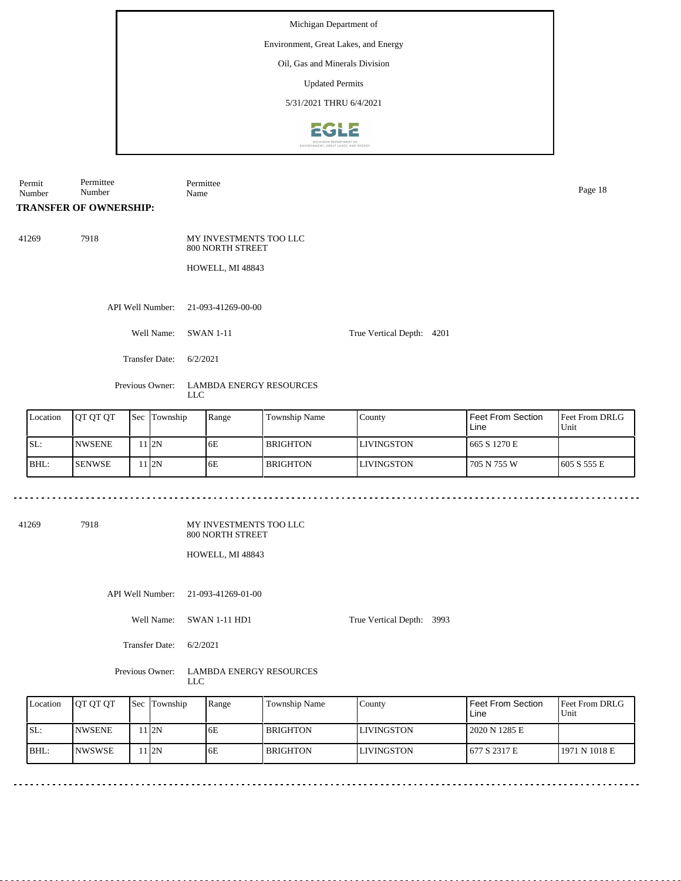Environment, Great Lakes, and Energy

## Oil, Gas and Minerals Division

Updated Permits

5/31/2021 THRU 6/4/2021



| Permit<br>Number | Permittee<br>Number           |  |                  | Permittee<br>Name |                                                                       |                                |                           |  |                   | Page 18     |  |
|------------------|-------------------------------|--|------------------|-------------------|-----------------------------------------------------------------------|--------------------------------|---------------------------|--|-------------------|-------------|--|
|                  | <b>TRANSFER OF OWNERSHIP:</b> |  |                  |                   |                                                                       |                                |                           |  |                   |             |  |
| 41269            | 7918                          |  |                  |                   | MY INVESTMENTS TOO LLC<br><b>800 NORTH STREET</b><br>HOWELL, MI 48843 |                                |                           |  |                   |             |  |
|                  |                               |  | API Well Number: |                   | 21-093-41269-00-00                                                    |                                |                           |  |                   |             |  |
|                  |                               |  | Well Name:       |                   | <b>SWAN 1-11</b>                                                      |                                | True Vertical Depth: 4201 |  |                   |             |  |
|                  | <b>Transfer Date:</b>         |  |                  | 6/2/2021          |                                                                       |                                |                           |  |                   |             |  |
|                  |                               |  | Previous Owner:  | LLC               |                                                                       | <b>LAMBDA ENERGY RESOURCES</b> |                           |  |                   |             |  |
| Location         | QT QT QT                      |  | Sec Township     |                   | Range                                                                 | Township Name                  | County                    |  | Feet From Section | Feet From D |  |

| Location | <b>IOT OT OT</b> | <b>Sec</b> | Township | Range | Township Name   | Countv            | l Feet From Section<br>Line | <b>Feet From DRLG</b><br>Unit |
|----------|------------------|------------|----------|-------|-----------------|-------------------|-----------------------------|-------------------------------|
| SL:      | <b>NWSENE</b>    |            | 11 I 2N  | 6Е    | <b>BRIGHTON</b> | <b>LIVINGSTON</b> | 1665 S 1270 E               |                               |
| BHL:     | <b>ISENWSE</b>   |            | 11 I 2N  | 6E    | <b>BRIGHTON</b> | <b>LIVINGSTON</b> | 705 N 755 W                 | 1605 S 555 E                  |

41269 7918

#### MY INVESTMENTS TOO LLC 800 NORTH STREET

HOWELL, MI 48843

API Well Number: 21-093-41269-01-00

Well Name: SWAN 1-11 HD1

True Vertical Depth: 3993

Transfer Date: 6/2/2021

Previous Owner: LAMBDA ENERGY RESOURCES LLC

Feet From DRLG Unit 1971 N 1018 E 2020 N 1285 E 677 S 2317 E Feet From Section Line County LIVINGSTON LIVINGSTON Location QT QT QT Sec Township Range Township Name SL: BHL: NWSENE NWSWSE Sec Township 11 2N 11 2N 6E 6E BRIGHTON BRIGHTON